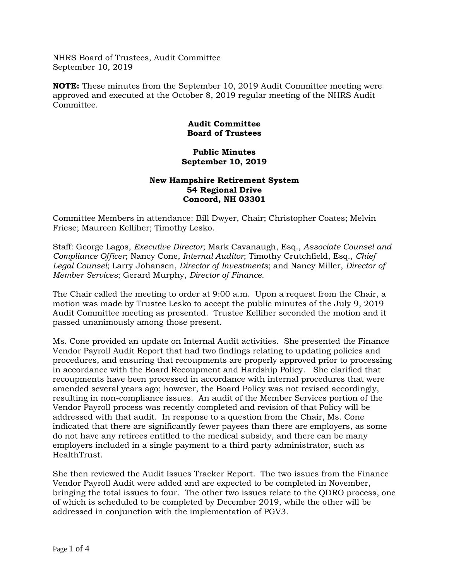NHRS Board of Trustees, Audit Committee September 10, 2019

**NOTE:** These minutes from the September 10, 2019 Audit Committee meeting were approved and executed at the October 8, 2019 regular meeting of the NHRS Audit Committee.

# **Audit Committee Board of Trustees**

#### **Public Minutes September 10, 2019**

# **New Hampshire Retirement System 54 Regional Drive Concord, NH 03301**

Committee Members in attendance: Bill Dwyer, Chair; Christopher Coates; Melvin Friese; Maureen Kelliher; Timothy Lesko.

Staff: George Lagos, *Executive Director*; Mark Cavanaugh, Esq., *Associate Counsel and Compliance Officer*; Nancy Cone, *Internal Auditor*; Timothy Crutchfield, Esq., *Chief Legal Counsel*; Larry Johansen, *Director of Investments*; and Nancy Miller, *Director of Member Services*; Gerard Murphy, *Director of Finance*.

The Chair called the meeting to order at 9:00 a.m. Upon a request from the Chair, a motion was made by Trustee Lesko to accept the public minutes of the July 9, 2019 Audit Committee meeting as presented. Trustee Kelliher seconded the motion and it passed unanimously among those present.

Ms. Cone provided an update on Internal Audit activities. She presented the Finance Vendor Payroll Audit Report that had two findings relating to updating policies and procedures, and ensuring that recoupments are properly approved prior to processing in accordance with the Board Recoupment and Hardship Policy. She clarified that recoupments have been processed in accordance with internal procedures that were amended several years ago; however, the Board Policy was not revised accordingly, resulting in non-compliance issues. An audit of the Member Services portion of the Vendor Payroll process was recently completed and revision of that Policy will be addressed with that audit. In response to a question from the Chair, Ms. Cone indicated that there are significantly fewer payees than there are employers, as some do not have any retirees entitled to the medical subsidy, and there can be many employers included in a single payment to a third party administrator, such as HealthTrust.

She then reviewed the Audit Issues Tracker Report. The two issues from the Finance Vendor Payroll Audit were added and are expected to be completed in November, bringing the total issues to four. The other two issues relate to the QDRO process, one of which is scheduled to be completed by December 2019, while the other will be addressed in conjunction with the implementation of PGV3.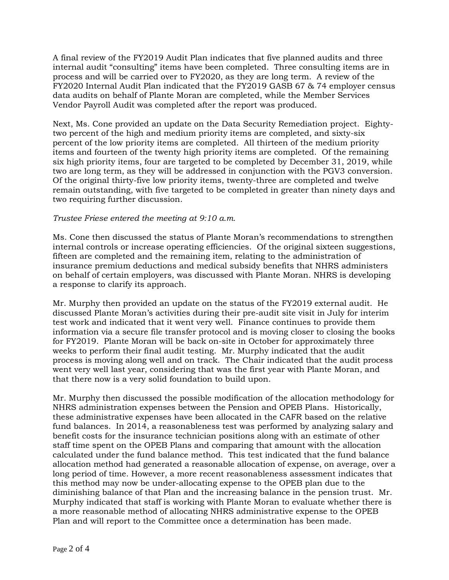A final review of the FY2019 Audit Plan indicates that five planned audits and three internal audit "consulting" items have been completed. Three consulting items are in process and will be carried over to FY2020, as they are long term. A review of the FY2020 Internal Audit Plan indicated that the FY2019 GASB 67 & 74 employer census data audits on behalf of Plante Moran are completed, while the Member Services Vendor Payroll Audit was completed after the report was produced.

Next, Ms. Cone provided an update on the Data Security Remediation project. Eightytwo percent of the high and medium priority items are completed, and sixty-six percent of the low priority items are completed. All thirteen of the medium priority items and fourteen of the twenty high priority items are completed. Of the remaining six high priority items, four are targeted to be completed by December 31, 2019, while two are long term, as they will be addressed in conjunction with the PGV3 conversion. Of the original thirty-five low priority items, twenty-three are completed and twelve remain outstanding, with five targeted to be completed in greater than ninety days and two requiring further discussion.

# *Trustee Friese entered the meeting at 9:10 a.m.*

Ms. Cone then discussed the status of Plante Moran's recommendations to strengthen internal controls or increase operating efficiencies. Of the original sixteen suggestions, fifteen are completed and the remaining item, relating to the administration of insurance premium deductions and medical subsidy benefits that NHRS administers on behalf of certain employers, was discussed with Plante Moran. NHRS is developing a response to clarify its approach.

Mr. Murphy then provided an update on the status of the FY2019 external audit. He discussed Plante Moran's activities during their pre-audit site visit in July for interim test work and indicated that it went very well. Finance continues to provide them information via a secure file transfer protocol and is moving closer to closing the books for FY2019. Plante Moran will be back on-site in October for approximately three weeks to perform their final audit testing. Mr. Murphy indicated that the audit process is moving along well and on track. The Chair indicated that the audit process went very well last year, considering that was the first year with Plante Moran, and that there now is a very solid foundation to build upon.

Mr. Murphy then discussed the possible modification of the allocation methodology for NHRS administration expenses between the Pension and OPEB Plans. Historically, these administrative expenses have been allocated in the CAFR based on the relative fund balances. In 2014, a reasonableness test was performed by analyzing salary and benefit costs for the insurance technician positions along with an estimate of other staff time spent on the OPEB Plans and comparing that amount with the allocation calculated under the fund balance method. This test indicated that the fund balance allocation method had generated a reasonable allocation of expense, on average, over a long period of time. However, a more recent reasonableness assessment indicates that this method may now be under-allocating expense to the OPEB plan due to the diminishing balance of that Plan and the increasing balance in the pension trust. Mr. Murphy indicated that staff is working with Plante Moran to evaluate whether there is a more reasonable method of allocating NHRS administrative expense to the OPEB Plan and will report to the Committee once a determination has been made.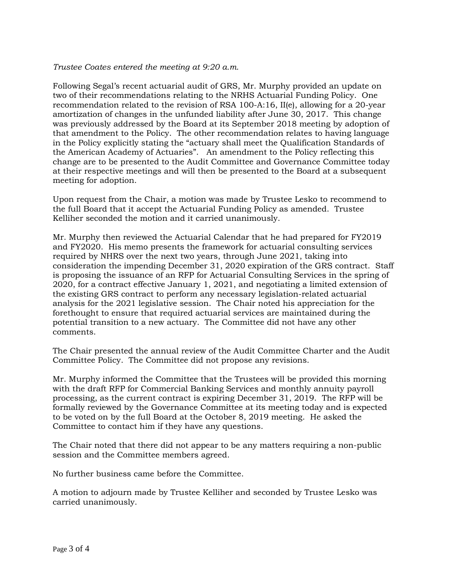#### *Trustee Coates entered the meeting at 9:20 a.m.*

Following Segal's recent actuarial audit of GRS, Mr. Murphy provided an update on two of their recommendations relating to the NRHS Actuarial Funding Policy. One recommendation related to the revision of RSA 100-A:16, II(e), allowing for a 20-year amortization of changes in the unfunded liability after June 30, 2017. This change was previously addressed by the Board at its September 2018 meeting by adoption of that amendment to the Policy. The other recommendation relates to having language in the Policy explicitly stating the "actuary shall meet the Qualification Standards of the American Academy of Actuaries". An amendment to the Policy reflecting this change are to be presented to the Audit Committee and Governance Committee today at their respective meetings and will then be presented to the Board at a subsequent meeting for adoption.

Upon request from the Chair, a motion was made by Trustee Lesko to recommend to the full Board that it accept the Actuarial Funding Policy as amended. Trustee Kelliher seconded the motion and it carried unanimously.

Mr. Murphy then reviewed the Actuarial Calendar that he had prepared for FY2019 and FY2020. His memo presents the framework for actuarial consulting services required by NHRS over the next two years, through June 2021, taking into consideration the impending December 31, 2020 expiration of the GRS contract. Staff is proposing the issuance of an RFP for Actuarial Consulting Services in the spring of 2020, for a contract effective January 1, 2021, and negotiating a limited extension of the existing GRS contract to perform any necessary legislation-related actuarial analysis for the 2021 legislative session. The Chair noted his appreciation for the forethought to ensure that required actuarial services are maintained during the potential transition to a new actuary. The Committee did not have any other comments.

The Chair presented the annual review of the Audit Committee Charter and the Audit Committee Policy. The Committee did not propose any revisions.

Mr. Murphy informed the Committee that the Trustees will be provided this morning with the draft RFP for Commercial Banking Services and monthly annuity payroll processing, as the current contract is expiring December 31, 2019. The RFP will be formally reviewed by the Governance Committee at its meeting today and is expected to be voted on by the full Board at the October 8, 2019 meeting. He asked the Committee to contact him if they have any questions.

The Chair noted that there did not appear to be any matters requiring a non-public session and the Committee members agreed.

No further business came before the Committee.

A motion to adjourn made by Trustee Kelliher and seconded by Trustee Lesko was carried unanimously.